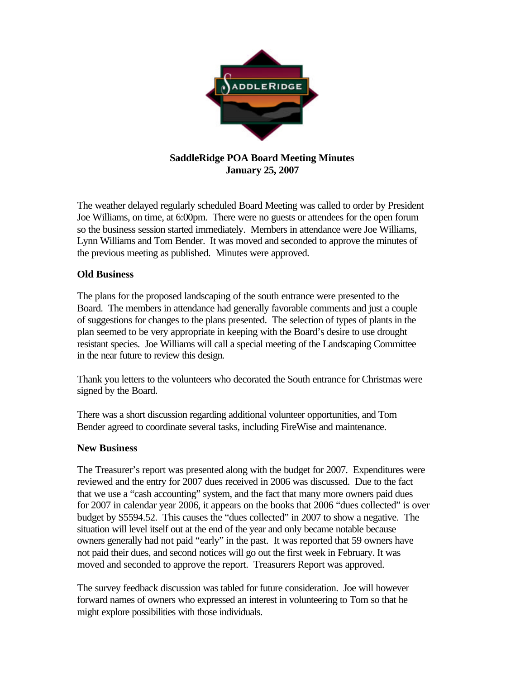

## **SaddleRidge POA Board Meeting Minutes January 25, 2007**

The weather delayed regularly scheduled Board Meeting was called to order by President Joe Williams, on time, at 6:00pm. There were no guests or attendees for the open forum so the business session started immediately. Members in attendance were Joe Williams, Lynn Williams and Tom Bender. It was moved and seconded to approve the minutes of the previous meeting as published. Minutes were approved.

## **Old Business**

The plans for the proposed landscaping of the south entrance were presented to the Board. The members in attendance had generally favorable comments and just a couple of suggestions for changes to the plans presented. The selection of types of plants in the plan seemed to be very appropriate in keeping with the Board's desire to use drought resistant species. Joe Williams will call a special meeting of the Landscaping Committee in the near future to review this design.

Thank you letters to the volunteers who decorated the South entrance for Christmas were signed by the Board.

There was a short discussion regarding additional volunteer opportunities, and Tom Bender agreed to coordinate several tasks, including FireWise and maintenance.

## **New Business**

The Treasurer's report was presented along with the budget for 2007. Expenditures were reviewed and the entry for 2007 dues received in 2006 was discussed. Due to the fact that we use a "cash accounting" system, and the fact that many more owners paid dues for 2007 in calendar year 2006, it appears on the books that 2006 "dues collected" is over budget by \$5594.52. This causes the "dues collected" in 2007 to show a negative. The situation will level itself out at the end of the year and only became notable because owners generally had not paid "early" in the past. It was reported that 59 owners have not paid their dues, and second notices will go out the first week in February. It was moved and seconded to approve the report. Treasurers Report was approved.

The survey feedback discussion was tabled for future consideration. Joe will however forward names of owners who expressed an interest in volunteering to Tom so that he might explore possibilities with those individuals.